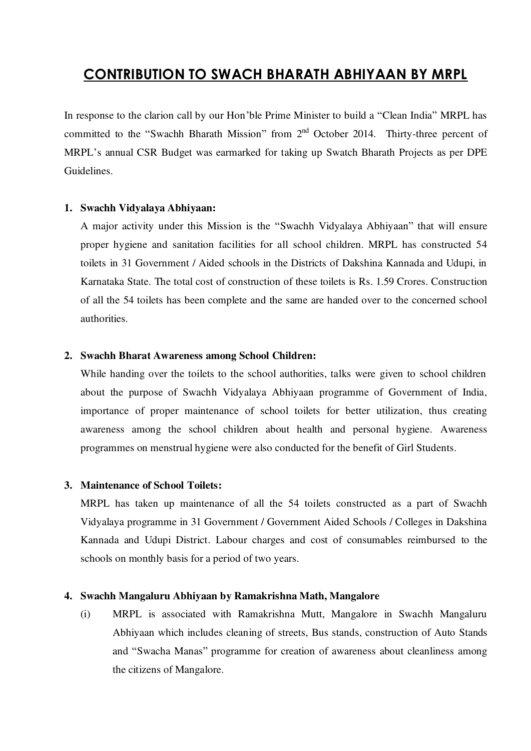# **CONTRIBUTION TO SWACH BHARATH ABHIYAAN BY MRPL**

In response to the clarion call by our Hon'ble Prime Minister to build a "Clean India" MRPL has committed to the "Swachh Bharath Mission" from  $2<sup>nd</sup>$  October 2014. Thirty-three percent of MRPL's annual CSR Budget was earmarked for taking up Swatch Bharath Projects as per DPE Guidelines.

## **1. Swachh Vidyalaya Abhiyaan:**

A major activity under this Mission is the "Swachh Vidyalaya Abhiyaan" that will ensure proper hygiene and sanitation facilities for all school children. MRPL has constructed 54 toilets in 31 Government / Aided schools in the Districts of Dakshina Kannada and Udupi, in Karnataka State. The total cost of construction of these toilets is Rs. 1.59 Crores. Construction of all the 54 toilets has been complete and the same are handed over to the concerned school authorities.

## **2. Swachh Bharat Awareness among School Children:**

While handing over the toilets to the school authorities, talks were given to school children about the purpose of Swachh Vidyalaya Abhiyaan programme of Government of India, importance of proper maintenance of school toilets for better utilization, thus creating awareness among the school children about health and personal hygiene. Awareness programmes on menstrual hygiene were also conducted for the benefit of Girl Students.

## **3. Maintenance of School Toilets:**

MRPL has taken up maintenance of all the 54 toilets constructed as a part of Swachh Vidyalaya programme in 31 Government / Government Aided Schools / Colleges in Dakshina Kannada and Udupi District. Labour charges and cost of consumables reimbursed to the schools on monthly basis for a period of two years.

## **4. Swachh Mangaluru Abhiyaan by Ramakrishna Math, Mangalore**

(i) MRPL is associated with Ramakrishna Mutt, Mangalore in Swachh Mangaluru Abhiyaan which includes cleaning of streets, Bus stands, construction of Auto Stands and "Swacha Manas" programme for creation of awareness about cleanliness among the citizens of Mangalore.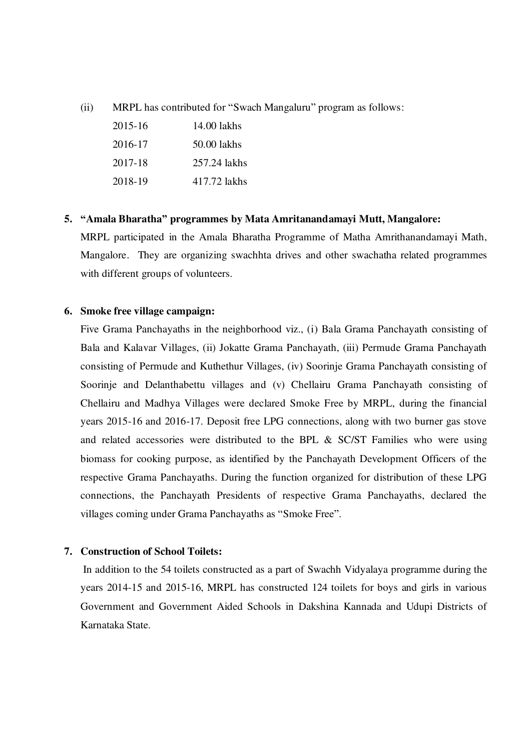(ii) MRPL has contributed for "Swach Mangaluru" program as follows:

| $2015 - 16$ | 14.00 lakhs  |
|-------------|--------------|
| 2016-17     | 50.00 lakhs  |
| 2017-18     | 257.24 lakhs |
| 2018-19     | 417.72 lakhs |

#### **5. "Amala Bharatha" programmes by Mata Amritanandamayi Mutt, Mangalore:**

MRPL participated in the Amala Bharatha Programme of Matha Amrithanandamayi Math, Mangalore. They are organizing swachhta drives and other swachatha related programmes with different groups of volunteers.

## **6. Smoke free village campaign:**

Five Grama Panchayaths in the neighborhood viz., (i) Bala Grama Panchayath consisting of Bala and Kalavar Villages, (ii) Jokatte Grama Panchayath, (iii) Permude Grama Panchayath consisting of Permude and Kuthethur Villages, (iv) Soorinje Grama Panchayath consisting of Soorinje and Delanthabettu villages and (v) Chellairu Grama Panchayath consisting of Chellairu and Madhya Villages were declared Smoke Free by MRPL, during the financial years 2015-16 and 2016-17. Deposit free LPG connections, along with two burner gas stove and related accessories were distributed to the BPL & SC/ST Families who were using biomass for cooking purpose, as identified by the Panchayath Development Officers of the respective Grama Panchayaths. During the function organized for distribution of these LPG connections, the Panchayath Presidents of respective Grama Panchayaths, declared the villages coming under Grama Panchayaths as "Smoke Free".

## **7. Construction of School Toilets:**

 In addition to the 54 toilets constructed as a part of Swachh Vidyalaya programme during the years 2014-15 and 2015-16, MRPL has constructed 124 toilets for boys and girls in various Government and Government Aided Schools in Dakshina Kannada and Udupi Districts of Karnataka State.